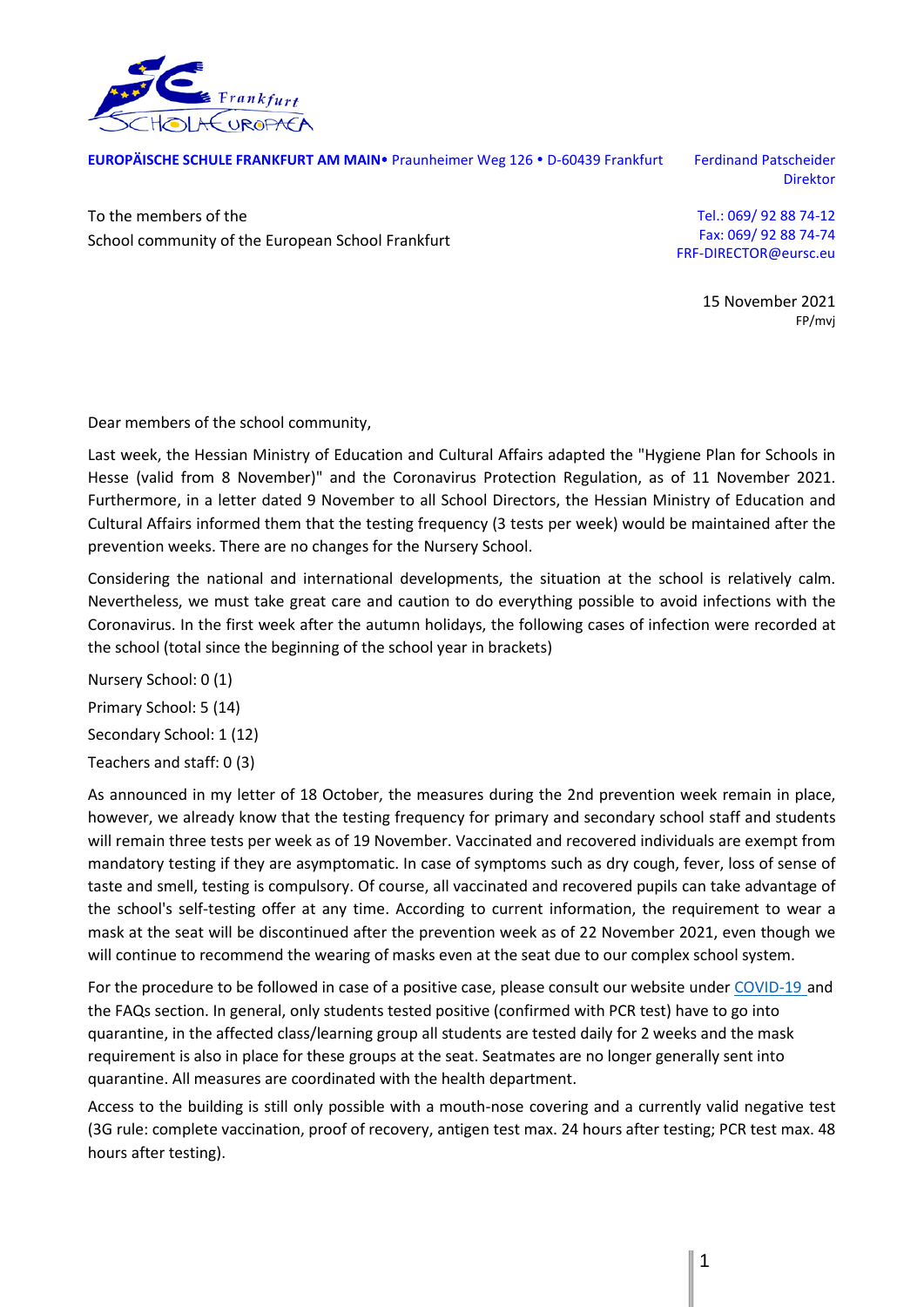

**EUROPÄISCHE SCHULE FRANKFURT AM MAIN** Praunheimer Weg 126 · D-60439 Frankfurt Ferdinand Patscheider

Direktor

To the members of the School community of the European School Frankfurt

Tel.: 069/ 92 88 74-12 Fax: 069/ 92 88 74-74 FRF-DIRECTOR@eursc.eu

> 15 November 2021 FP/mvj

Dear members of the school community,

Last week, the Hessian Ministry of Education and Cultural Affairs adapted the "Hygiene Plan for Schools in Hesse (valid from 8 November)" and the Coronavirus Protection Regulation, as of 11 November 2021. Furthermore, in a letter dated 9 November to all School Directors, the Hessian Ministry of Education and Cultural Affairs informed them that the testing frequency (3 tests per week) would be maintained after the prevention weeks. There are no changes for the Nursery School.

Considering the national and international developments, the situation at the school is relatively calm. Nevertheless, we must take great care and caution to do everything possible to avoid infections with the Coronavirus. In the first week after the autumn holidays, the following cases of infection were recorded at the school (total since the beginning of the school year in brackets)

Nursery School: 0 (1) Primary School: 5 (14) Secondary School: 1 (12) Teachers and staff: 0 (3)

As announced in my letter of 18 October, the measures during the 2nd prevention week remain in place, however, we already know that the testing frequency for primary and secondary school staff and students will remain three tests per week as of 19 November. Vaccinated and recovered individuals are exempt from mandatory testing if they are asymptomatic. In case of symptoms such as dry cough, fever, loss of sense of taste and smell, testing is compulsory. Of course, all vaccinated and recovered pupils can take advantage of the school's self-testing offer at any time. According to current information, the requirement to wear a mask at the seat will be discontinued after the prevention week as of 22 November 2021, even though we will continue to recommend the wearing of masks even at the seat due to our complex school system.

For the procedure to be followed in case of a positive case, please consult our website under [COVID-19](https://www.esffm.org/en/covid-19) and the FAQs section. In general, only students tested positive (confirmed with PCR test) have to go into quarantine, in the affected class/learning group all students are tested daily for 2 weeks and the mask requirement is also in place for these groups at the seat. Seatmates are no longer generally sent into quarantine. All measures are coordinated with the health department.

Access to the building is still only possible with a mouth-nose covering and a currently valid negative test (3G rule: complete vaccination, proof of recovery, antigen test max. 24 hours after testing; PCR test max. 48 hours after testing).